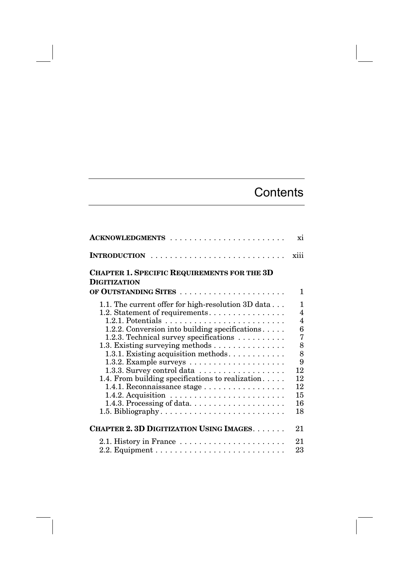## **Contents**

| ACKNOWLEDGMENTS                                                                                                                                                                                                                                                                                                                                                                                                                                                                                                                                                                                                          | xi                                                                                                                       |
|--------------------------------------------------------------------------------------------------------------------------------------------------------------------------------------------------------------------------------------------------------------------------------------------------------------------------------------------------------------------------------------------------------------------------------------------------------------------------------------------------------------------------------------------------------------------------------------------------------------------------|--------------------------------------------------------------------------------------------------------------------------|
| INTRODUCTION                                                                                                                                                                                                                                                                                                                                                                                                                                                                                                                                                                                                             | xiii                                                                                                                     |
| <b>CHAPTER 1. SPECIFIC REQUIREMENTS FOR THE 3D</b><br><b>DIGITIZATION</b>                                                                                                                                                                                                                                                                                                                                                                                                                                                                                                                                                |                                                                                                                          |
| OF OUTSTANDING SITES                                                                                                                                                                                                                                                                                                                                                                                                                                                                                                                                                                                                     | 1                                                                                                                        |
| 1.1. The current offer for high-resolution 3D data<br>1.2. Statement of requirements<br>1.2.1. Potentials $\ldots \ldots \ldots \ldots \ldots \ldots \ldots \ldots$<br>1.2.2. Conversion into building specifications<br>1.2.3. Technical survey specifications<br>1.3. Existing surveying methods<br>1.3.1. Existing acquisition methods<br>1.3.2. Example surveys $\dots \dots \dots \dots \dots \dots$<br>1.3.3. Survey control data<br>1.4. From building specifications to realization<br>1.4.1. Reconnaissance stage<br>1.4.2. Acquisition $\ldots \ldots \ldots \ldots \ldots \ldots \ldots$<br>1.5. Bibliography | 1<br>$\overline{4}$<br>$\overline{\mathbf{4}}$<br>6<br>$\overline{7}$<br>8<br>8<br>9<br>12<br>12<br>12<br>15<br>16<br>18 |
| <b>CHAPTER 2. 3D DIGITIZATION USING IMAGES</b>                                                                                                                                                                                                                                                                                                                                                                                                                                                                                                                                                                           | 21                                                                                                                       |
| 2.1. History in France $\dots \dots \dots \dots \dots \dots \dots$                                                                                                                                                                                                                                                                                                                                                                                                                                                                                                                                                       | 21<br>23                                                                                                                 |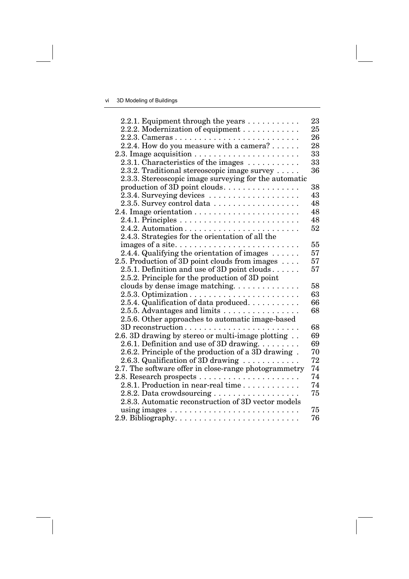| 2.2.1. Equipment through the years                                         | 23 |
|----------------------------------------------------------------------------|----|
| 2.2.2. Modernization of equipment                                          | 25 |
|                                                                            | 26 |
| 2.2.4. How do you measure with a camera? $\dots$ .                         | 28 |
| 2.3. Image acquisition $\ldots \ldots \ldots \ldots \ldots \ldots$         | 33 |
| 2.3.1. Characteristics of the images $\dots \dots \dots$                   | 33 |
| 2.3.2. Traditional stereoscopic image survey $\dots$ .                     | 36 |
| 2.3.3. Stereoscopic image surveying for the automatic                      |    |
| production of 3D point clouds                                              | 38 |
|                                                                            | 43 |
| 2.3.5. Survey control data                                                 | 48 |
|                                                                            | 48 |
|                                                                            | 48 |
|                                                                            | 52 |
| 2.4.3. Strategies for the orientation of all the                           |    |
|                                                                            | 55 |
| 2.4.4. Qualifying the orientation of images $\dots \dots$                  | 57 |
| 2.5. Production of 3D point clouds from images                             | 57 |
| 2.5.1. Definition and use of 3D point clouds                               | 57 |
| 2.5.2. Principle for the production of 3D point                            |    |
| clouds by dense image matching                                             | 58 |
|                                                                            | 63 |
| 2.5.4. Qualification of data produced.                                     | 66 |
| 2.5.5. Advantages and limits $\dots \dots \dots \dots \dots$               | 68 |
| 2.5.6. Other approaches to automatic image-based                           |    |
|                                                                            | 68 |
| 2.6. 3D drawing by stereo or multi-image plotting                          | 69 |
| 2.6.1. Definition and use of 3D drawing                                    | 69 |
| 2.6.2. Principle of the production of a 3D drawing.                        | 70 |
| 2.6.3. Qualification of 3D drawing $\ldots \ldots \ldots$                  | 72 |
| 2.7. The software offer in close-range photogrammetry                      | 74 |
| 2.8. Research prospects $\dots \dots \dots \dots \dots \dots \dots$        | 74 |
| 2.8.1. Production in near-real time                                        | 74 |
|                                                                            | 75 |
| 2.8.3. Automatic reconstruction of 3D vector models                        |    |
| using images $\dots \dots \dots \dots \dots \dots \dots \dots \dots \dots$ | 75 |
| 2.9. Bibliography. $\dots \dots \dots \dots \dots \dots \dots \dots \dots$ | 76 |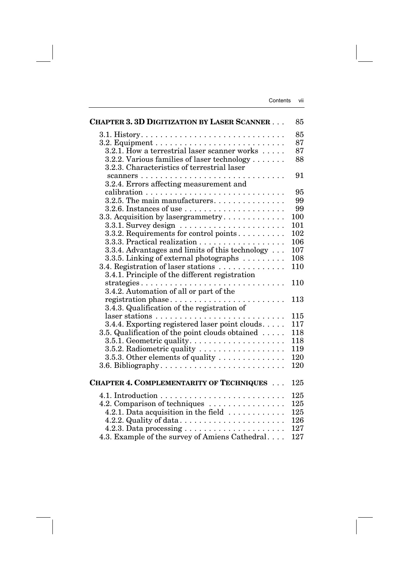| <b>CHAPTER 3. 3D DIGITIZATION BY LASER SCANNER</b>                           | 85         |
|------------------------------------------------------------------------------|------------|
|                                                                              | 85         |
| 3.2. Equipment $\dots \dots \dots \dots \dots \dots \dots \dots \dots \dots$ | 87         |
| 3.2.1. How a terrestrial laser scanner works                                 | 87         |
| 3.2.2. Various families of laser technology                                  | 88         |
| 3.2.3. Characteristics of terrestrial laser                                  |            |
|                                                                              | 91         |
| 3.2.4. Errors affecting measurement and                                      |            |
|                                                                              | 95         |
| $3.2.5$ . The main manufacturers.                                            | 99         |
| $3.2.6$ . Instances of use $\dots \dots \dots \dots \dots \dots$             | 99         |
| 3.3. Acquisition by lasergrammetry                                           | 100        |
| $3.3.1.$ Survey design $\ldots \ldots \ldots \ldots \ldots \ldots$           | 101        |
| 3.3.2. Requirements for control points                                       | 102        |
|                                                                              | 106        |
| 3.3.4. Advantages and limits of this technology                              | 107        |
| 3.3.5. Linking of external photographs                                       | 108        |
| 3.4. Registration of laser stations                                          | 110        |
| 3.4.1. Principle of the different registration                               |            |
|                                                                              | 110        |
| 3.4.2. Automation of all or part of the                                      |            |
| registration phase                                                           | 113        |
| 3.4.3. Qualification of the registration of                                  |            |
|                                                                              | 115        |
| 3.4.4. Exporting registered laser point clouds                               | 117        |
| 3.5. Qualification of the point clouds obtained                              | 118        |
| $3.5.1.$ Geometric quality. $\dots \dots \dots \dots \dots \dots$            | 118        |
| 3.5.2. Radiometric quality                                                   | 119        |
| 3.5.3. Other elements of quality                                             | 120<br>120 |
|                                                                              |            |
| <b>CHAPTER 4. COMPLEMENTARITY OF TECHNIQUES</b>                              | 125        |
|                                                                              |            |
|                                                                              | 125        |
| 4.2. Comparison of techniques                                                | 125        |
| 4.2.1. Data acquisition in the field $\dots\dots\dots\dots$                  | 125        |
| 4.2.2. Quality of data                                                       | 126        |
|                                                                              | 127        |
| 4.3. Example of the survey of Amiens Cathedral                               | 127        |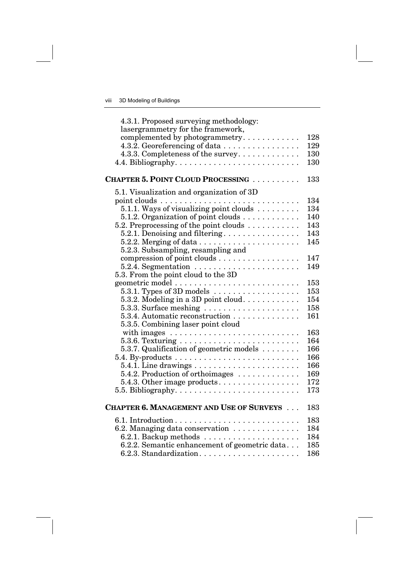| 4.3.1. Proposed surveying methodology:<br>lasergrammetry for the framework,   |     |
|-------------------------------------------------------------------------------|-----|
| complemented by photogrammetry                                                | 128 |
| 4.3.2. Georeferencing of data                                                 | 129 |
| 4.3.3. Completeness of the survey                                             | 130 |
|                                                                               | 130 |
| <b>CHAPTER 5. POINT CLOUD PROCESSING </b>                                     | 133 |
| 5.1. Visualization and organization of 3D                                     |     |
|                                                                               | 134 |
|                                                                               | 134 |
| 5.1.2. Organization of point clouds                                           | 140 |
| 5.2. Preprocessing of the point clouds $\dots \dots \dots$                    | 143 |
| $5.2.1.$ Denoising and filtering                                              | 143 |
| $5.2.2.$ Merging of data $\ldots \ldots \ldots \ldots \ldots \ldots$          | 145 |
| 5.2.3. Subsampling, resampling and                                            |     |
| compression of point clouds                                                   | 147 |
| $5.2.\overline{4}$ . Segmentation $\ldots \ldots \ldots \ldots \ldots \ldots$ | 149 |
| 5.3. From the point cloud to the 3D                                           | 153 |
| 5.3.1. Types of 3D models $\dots \dots \dots \dots \dots$                     | 153 |
| 5.3.2. Modeling in a 3D point cloud                                           | 154 |
| $5.3.3.$ Surface meshing $\ldots \ldots \ldots \ldots \ldots$                 | 158 |
| 5.3.4. Automatic reconstruction                                               | 161 |
| 5.3.5. Combining laser point cloud                                            |     |
|                                                                               | 163 |
|                                                                               | 164 |
| 5.3.7. Qualification of geometric models $\dots \dots$                        | 166 |
| $5.4. By-products \ldots \ldots \ldots \ldots \ldots \ldots \ldots \ldots$    | 166 |
|                                                                               | 166 |
| 5.4.2. Production of orthoimages                                              | 169 |
|                                                                               | 172 |
| 5.5. Bibliography. $\dots \dots \dots \dots \dots \dots \dots \dots \dots$    | 173 |
| <b>CHAPTER 6. MANAGEMENT AND USE OF SURVEYS </b>                              | 183 |
|                                                                               | 183 |
| 6.2. Managing data conservation                                               | 184 |
| $6.2.1.$ Backup methods $\ldots \ldots \ldots \ldots \ldots \ldots$           | 184 |
| 6.2.2. Semantic enhancement of geometric data                                 | 185 |
|                                                                               | 186 |